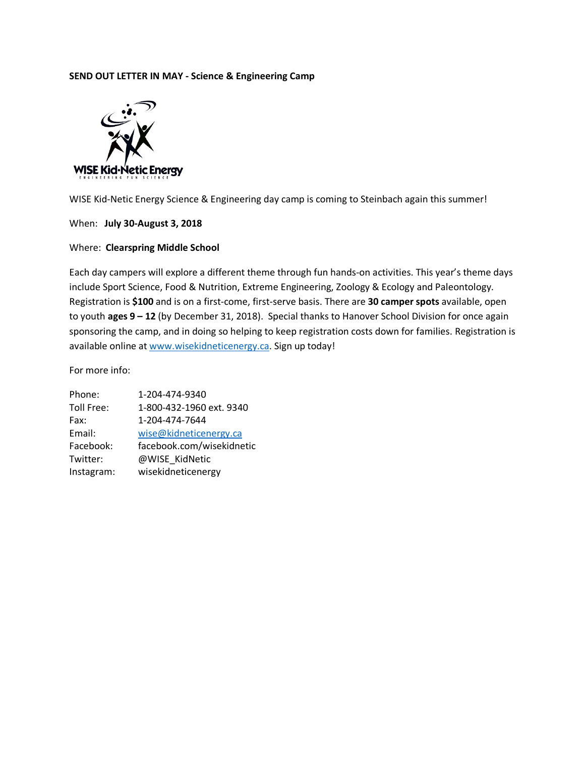# **SEND OUT LETTER IN MAY - Science & Engineering Camp**



WISE Kid-Netic Energy Science & Engineering day camp is coming to Steinbach again this summer!

When: **July 30-August 3, 2018**

#### Where: **Clearspring Middle School**

Each day campers will explore a different theme through fun hands-on activities. This year's theme days include Sport Science, Food & Nutrition, Extreme Engineering, Zoology & Ecology and Paleontology. Registration is **\$100** and is on a first-come, first-serve basis. There are **30 camper spots** available, open to youth **ages 9 – 12** (by December 31, 2018). Special thanks to Hanover School Division for once again sponsoring the camp, and in doing so helping to keep registration costs down for families. Registration is available online at www.wisekidneticenergy.ca. Sign up today!

| Phone:     | 1-204-474-9340            |
|------------|---------------------------|
| Toll Free: | 1-800-432-1960 ext. 9340  |
| Fax:       | 1-204-474-7644            |
| Email:     | wise@kidneticenergy.ca    |
| Facebook:  | facebook.com/wisekidnetic |
| Twitter:   | @WISE KidNetic            |
| Instagram: | wisekidneticenergy        |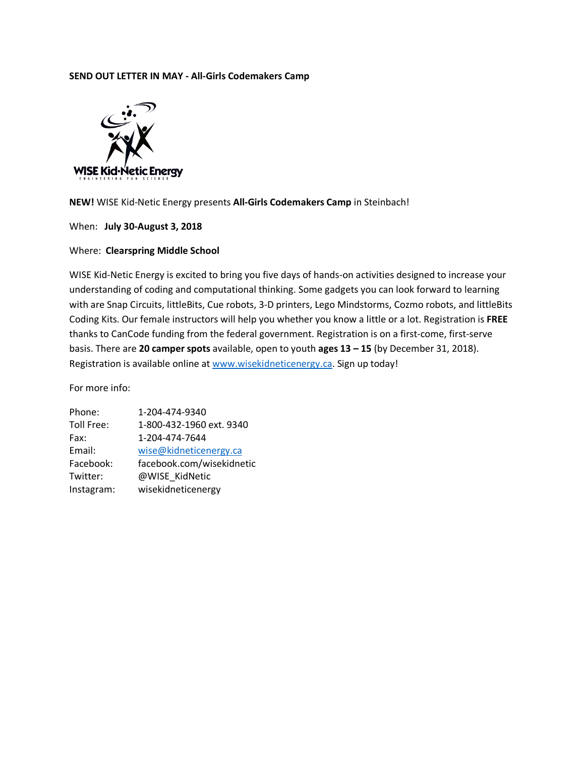## **SEND OUT LETTER IN MAY - All-Girls Codemakers Camp**



**NEW!** WISE Kid-Netic Energy presents **All-Girls Codemakers Camp** in Steinbach!

When: **July 30-August 3, 2018**

## Where: **Clearspring Middle School**

WISE Kid-Netic Energy is excited to bring you five days of hands-on activities designed to increase your understanding of coding and computational thinking. Some gadgets you can look forward to learning with are Snap Circuits, littleBits, Cue robots, 3-D printers, Lego Mindstorms, Cozmo robots, and littleBits Coding Kits. Our female instructors will help you whether you know a little or a lot. Registration is **FREE**  thanks to CanCode funding from the federal government. Registration is on a first-come, first-serve basis. There are **20 camper spots** available, open to youth **ages 13 – 15** (by December 31, 2018). Registration is available online at www.wisekidneticenergy.ca. Sign up today!

| Phone:     | 1-204-474-9340            |
|------------|---------------------------|
| Toll Free: | 1-800-432-1960 ext. 9340  |
| Fax:       | 1-204-474-7644            |
| Email:     | wise@kidneticenergy.ca    |
| Facebook:  | facebook.com/wisekidnetic |
| Twitter:   | @WISE KidNetic            |
| Instagram: | wisekidneticenergy        |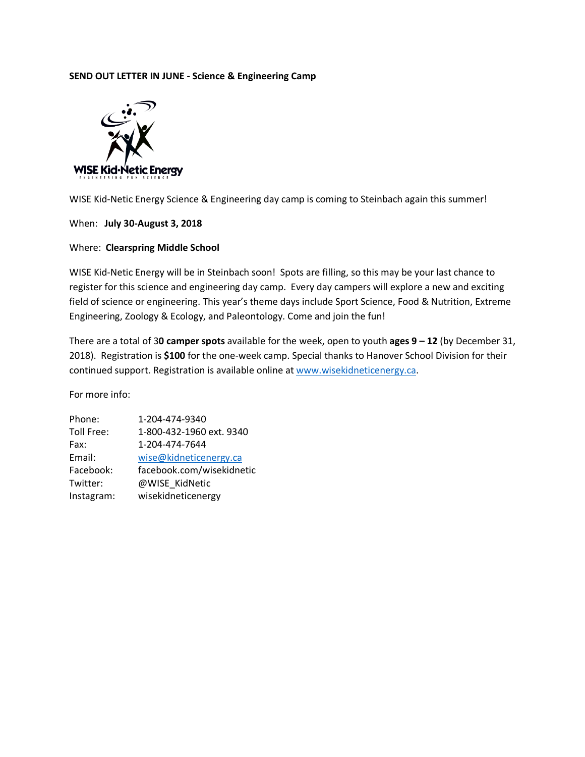# **SEND OUT LETTER IN JUNE - Science & Engineering Camp**



WISE Kid-Netic Energy Science & Engineering day camp is coming to Steinbach again this summer!

When: **July 30-August 3, 2018**

#### Where: **Clearspring Middle School**

WISE Kid-Netic Energy will be in Steinbach soon! Spots are filling, so this may be your last chance to register for this science and engineering day camp. Every day campers will explore a new and exciting field of science or engineering. This year's theme days include Sport Science, Food & Nutrition, Extreme Engineering, Zoology & Ecology, and Paleontology. Come and join the fun!

There are a total of 3**0 camper spots** available for the week, open to youth **ages 9 – 12** (by December 31, 2018). Registration is **\$100** for the one-week camp. Special thanks to Hanover School Division for their continued support. Registration is available online at www.wisekidneticenergy.ca.

| Phone:     | 1-204-474-9340            |
|------------|---------------------------|
| Toll Free: | 1-800-432-1960 ext. 9340  |
| Fax:       | 1-204-474-7644            |
| Email:     | wise@kidneticenergy.ca    |
| Facebook:  | facebook.com/wisekidnetic |
| Twitter:   | @WISE KidNetic            |
| Instagram: | wisekidneticenergy        |